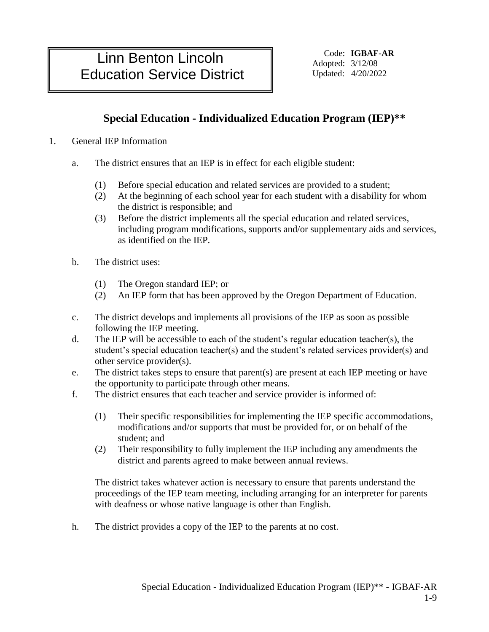# Linn Benton Lincoln | Education Service District | Updated: 4/20/2022

Code: **IGBAF-AR** Adopted: 3/12/08

## **Special Education - Individualized Education Program (IEP)\*\***

#### 1. General IEP Information

- a. The district ensures that an IEP is in effect for each eligible student:
	- (1) Before special education and related services are provided to a student;
	- (2) At the beginning of each school year for each student with a disability for whom the district is responsible; and
	- (3) Before the district implements all the special education and related services, including program modifications, supports and/or supplementary aids and services, as identified on the IEP.
- b. The district uses:
	- (1) The Oregon standard IEP; or
	- (2) An IEP form that has been approved by the Oregon Department of Education.
- c. The district develops and implements all provisions of the IEP as soon as possible following the IEP meeting.
- d. The IEP will be accessible to each of the student's regular education teacher(s), the student's special education teacher(s) and the student's related services provider(s) and other service provider(s).
- e. The district takes steps to ensure that parent(s) are present at each IEP meeting or have the opportunity to participate through other means.
- f. The district ensures that each teacher and service provider is informed of:
	- (1) Their specific responsibilities for implementing the IEP specific accommodations, modifications and/or supports that must be provided for, or on behalf of the student; and
	- (2) Their responsibility to fully implement the IEP including any amendments the district and parents agreed to make between annual reviews.

The district takes whatever action is necessary to ensure that parents understand the proceedings of the IEP team meeting, including arranging for an interpreter for parents with deafness or whose native language is other than English.

h. The district provides a copy of the IEP to the parents at no cost.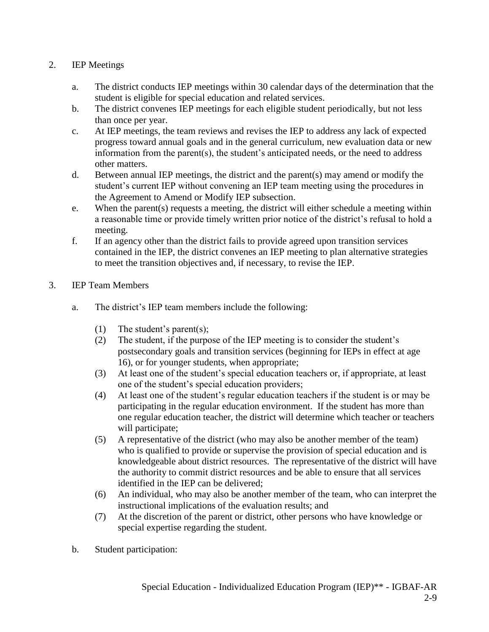### 2. IEP Meetings

- a. The district conducts IEP meetings within 30 calendar days of the determination that the student is eligible for special education and related services.
- b. The district convenes IEP meetings for each eligible student periodically, but not less than once per year.
- c. At IEP meetings, the team reviews and revises the IEP to address any lack of expected progress toward annual goals and in the general curriculum, new evaluation data or new information from the parent(s), the student's anticipated needs, or the need to address other matters.
- d. Between annual IEP meetings, the district and the parent(s) may amend or modify the student's current IEP without convening an IEP team meeting using the procedures in the Agreement to Amend or Modify IEP subsection.
- e. When the parent(s) requests a meeting, the district will either schedule a meeting within a reasonable time or provide timely written prior notice of the district's refusal to hold a meeting.
- f. If an agency other than the district fails to provide agreed upon transition services contained in the IEP, the district convenes an IEP meeting to plan alternative strategies to meet the transition objectives and, if necessary, to revise the IEP.
- 3. IEP Team Members
	- a. The district's IEP team members include the following:
		- (1) The student's parent(s);
		- (2) The student, if the purpose of the IEP meeting is to consider the student's postsecondary goals and transition services (beginning for IEPs in effect at age 16), or for younger students, when appropriate;
		- (3) At least one of the student's special education teachers or, if appropriate, at least one of the student's special education providers;
		- (4) At least one of the student's regular education teachers if the student is or may be participating in the regular education environment. If the student has more than one regular education teacher, the district will determine which teacher or teachers will participate;
		- (5) A representative of the district (who may also be another member of the team) who is qualified to provide or supervise the provision of special education and is knowledgeable about district resources. The representative of the district will have the authority to commit district resources and be able to ensure that all services identified in the IEP can be delivered;
		- (6) An individual, who may also be another member of the team, who can interpret the instructional implications of the evaluation results; and
		- (7) At the discretion of the parent or district, other persons who have knowledge or special expertise regarding the student.
	- b. Student participation: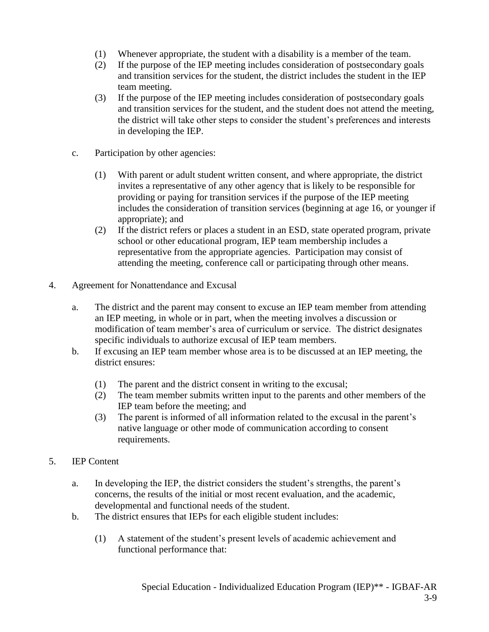- (1) Whenever appropriate, the student with a disability is a member of the team.
- (2) If the purpose of the IEP meeting includes consideration of postsecondary goals and transition services for the student, the district includes the student in the IEP team meeting.
- (3) If the purpose of the IEP meeting includes consideration of postsecondary goals and transition services for the student, and the student does not attend the meeting, the district will take other steps to consider the student's preferences and interests in developing the IEP.
- c. Participation by other agencies:
	- (1) With parent or adult student written consent, and where appropriate, the district invites a representative of any other agency that is likely to be responsible for providing or paying for transition services if the purpose of the IEP meeting includes the consideration of transition services (beginning at age 16, or younger if appropriate); and
	- (2) If the district refers or places a student in an ESD, state operated program, private school or other educational program, IEP team membership includes a representative from the appropriate agencies. Participation may consist of attending the meeting, conference call or participating through other means.
- 4. Agreement for Nonattendance and Excusal
	- a. The district and the parent may consent to excuse an IEP team member from attending an IEP meeting, in whole or in part, when the meeting involves a discussion or modification of team member's area of curriculum or service. The district designates specific individuals to authorize excusal of IEP team members.
	- b. If excusing an IEP team member whose area is to be discussed at an IEP meeting, the district ensures:
		- (1) The parent and the district consent in writing to the excusal;
		- (2) The team member submits written input to the parents and other members of the IEP team before the meeting; and
		- (3) The parent is informed of all information related to the excusal in the parent's native language or other mode of communication according to consent requirements.
- 5. IEP Content
	- a. In developing the IEP, the district considers the student's strengths, the parent's concerns, the results of the initial or most recent evaluation, and the academic, developmental and functional needs of the student.
	- b. The district ensures that IEPs for each eligible student includes:
		- (1) A statement of the student's present levels of academic achievement and functional performance that: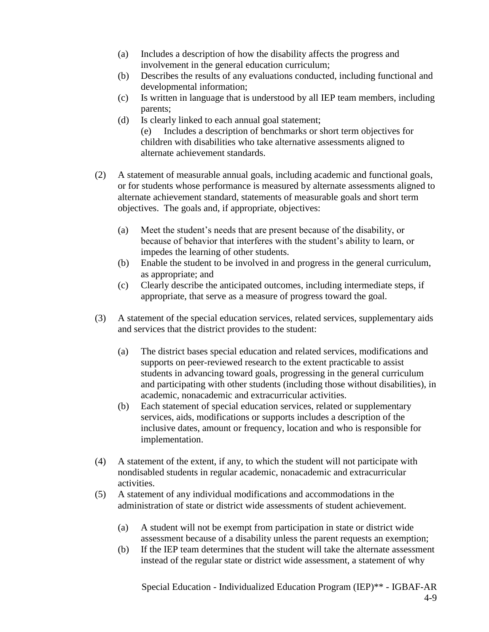- (a) Includes a description of how the disability affects the progress and involvement in the general education curriculum;
- (b) Describes the results of any evaluations conducted, including functional and developmental information;
- (c) Is written in language that is understood by all IEP team members, including parents;
- (d) Is clearly linked to each annual goal statement; (e) Includes a description of benchmarks or short term objectives for children with disabilities who take alternative assessments aligned to alternate achievement standards.
- (2) A statement of measurable annual goals, including academic and functional goals, or for students whose performance is measured by alternate assessments aligned to alternate achievement standard, statements of measurable goals and short term objectives. The goals and, if appropriate, objectives:
	- (a) Meet the student's needs that are present because of the disability, or because of behavior that interferes with the student's ability to learn, or impedes the learning of other students.
	- (b) Enable the student to be involved in and progress in the general curriculum, as appropriate; and
	- (c) Clearly describe the anticipated outcomes, including intermediate steps, if appropriate, that serve as a measure of progress toward the goal.
- (3) A statement of the special education services, related services, supplementary aids and services that the district provides to the student:
	- (a) The district bases special education and related services, modifications and supports on peer-reviewed research to the extent practicable to assist students in advancing toward goals, progressing in the general curriculum and participating with other students (including those without disabilities), in academic, nonacademic and extracurricular activities.
	- (b) Each statement of special education services, related or supplementary services, aids, modifications or supports includes a description of the inclusive dates, amount or frequency, location and who is responsible for implementation.
- (4) A statement of the extent, if any, to which the student will not participate with nondisabled students in regular academic, nonacademic and extracurricular activities.
- (5) A statement of any individual modifications and accommodations in the administration of state or district wide assessments of student achievement.
	- (a) A student will not be exempt from participation in state or district wide assessment because of a disability unless the parent requests an exemption;
	- (b) If the IEP team determines that the student will take the alternate assessment instead of the regular state or district wide assessment, a statement of why

Special Education - Individualized Education Program (IEP)\*\* - IGBAF-AR 4-9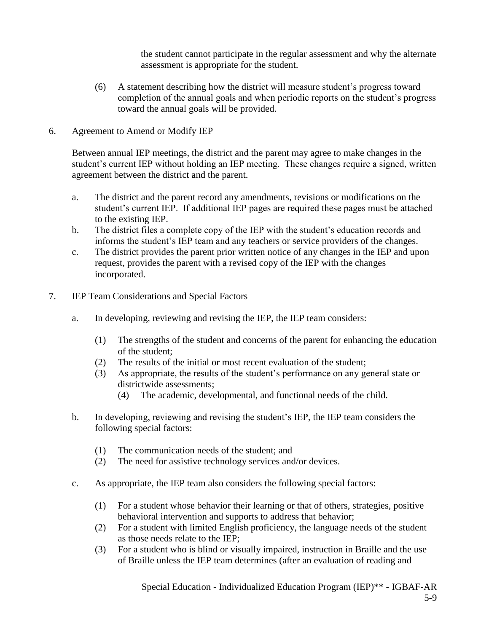the student cannot participate in the regular assessment and why the alternate assessment is appropriate for the student.

- (6) A statement describing how the district will measure student's progress toward completion of the annual goals and when periodic reports on the student's progress toward the annual goals will be provided.
- 6. Agreement to Amend or Modify IEP

Between annual IEP meetings, the district and the parent may agree to make changes in the student's current IEP without holding an IEP meeting. These changes require a signed, written agreement between the district and the parent.

- a. The district and the parent record any amendments, revisions or modifications on the student's current IEP. If additional IEP pages are required these pages must be attached to the existing IEP.
- b. The district files a complete copy of the IEP with the student's education records and informs the student's IEP team and any teachers or service providers of the changes.
- c. The district provides the parent prior written notice of any changes in the IEP and upon request, provides the parent with a revised copy of the IEP with the changes incorporated.
- 7. IEP Team Considerations and Special Factors
	- a. In developing, reviewing and revising the IEP, the IEP team considers:
		- (1) The strengths of the student and concerns of the parent for enhancing the education of the student;
		- (2) The results of the initial or most recent evaluation of the student;
		- (3) As appropriate, the results of the student's performance on any general state or districtwide assessments;
			- (4) The academic, developmental, and functional needs of the child.
	- b. In developing, reviewing and revising the student's IEP, the IEP team considers the following special factors:
		- (1) The communication needs of the student; and
		- (2) The need for assistive technology services and/or devices.
	- c. As appropriate, the IEP team also considers the following special factors:
		- (1) For a student whose behavior their learning or that of others, strategies, positive behavioral intervention and supports to address that behavior;
		- (2) For a student with limited English proficiency, the language needs of the student as those needs relate to the IEP;
		- (3) For a student who is blind or visually impaired, instruction in Braille and the use of Braille unless the IEP team determines (after an evaluation of reading and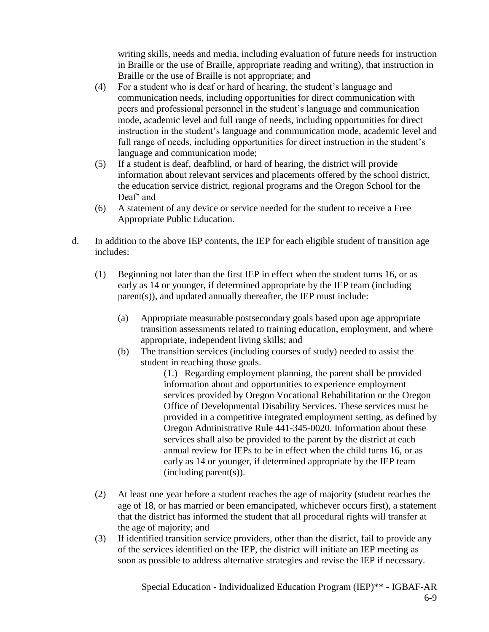writing skills, needs and media, including evaluation of future needs for instruction in Braille or the use of Braille, appropriate reading and writing), that instruction in Braille or the use of Braille is not appropriate; and

- (4) For a student who is deaf or hard of hearing, the student's language and communication needs, including opportunities for direct communication with peers and professional personnel in the student's language and communication mode, academic level and full range of needs, including opportunities for direct instruction in the student's language and communication mode, academic level and full range of needs, including opportunities for direct instruction in the student's language and communication mode;
- (5) If a student is deaf, deafblind, or hard of hearing, the district will provide information about relevant services and placements offered by the school district, the education service district, regional programs and the Oregon School for the Deaf' and
- (6)A statement of any device or service needed for the student to receive a Free Appropriate Public Education.
- d. In addition to the above IEP contents, the IEP for each eligible student of transition age includes:
	- (1) Beginning not later than the first IEP in effect when the student turns 16, or as early as 14 or younger, if determined appropriate by the IEP team (including parent(s)), and updated annually thereafter, the IEP must include:
		- (a) Appropriate measurable postsecondary goals based upon age appropriate transition assessments related to training education, employment, and where appropriate, independent living skills; and
		- (b) The transition services (including courses of study) needed to assist the student in reaching those goals.

(1.) Regarding employment planning, the parent shall be provided information about and opportunities to experience employment services provided by Oregon Vocational Rehabilitation or the Oregon Office of Developmental Disability Services. These services must be provided in a competitive integrated employment setting, as defined by Oregon Administrative Rule 441-345-0020. Information about these services shall also be provided to the parent by the district at each annual review for IEPs to be in effect when the child turns 16, or as early as 14 or younger, if determined appropriate by the IEP team (including parent(s)).

- (2) At least one year before a student reaches the age of majority (student reaches the age of 18, or has married or been emancipated, whichever occurs first), a statement that the district has informed the student that all procedural rights will transfer at the age of majority; and
- (3) If identified transition service providers, other than the district, fail to provide any of the services identified on the IEP, the district will initiate an IEP meeting as soon as possible to address alternative strategies and revise the IEP if necessary.

Special Education - Individualized Education Program (IEP)\*\* - IGBAF-AR 6-9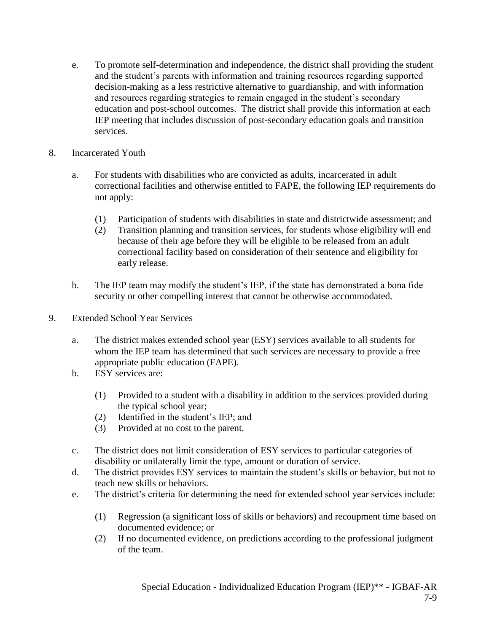- e. To promote self-determination and independence, the district shall providing the student and the student's parents with information and training resources regarding supported decision-making as a less restrictive alternative to guardianship, and with information and resources regarding strategies to remain engaged in the student's secondary education and post-school outcomes. The district shall provide this information at each IEP meeting that includes discussion of post-secondary education goals and transition services.
- 8. Incarcerated Youth
	- a. For students with disabilities who are convicted as adults, incarcerated in adult correctional facilities and otherwise entitled to FAPE, the following IEP requirements do not apply:
		- (1) Participation of students with disabilities in state and districtwide assessment; and
		- (2) Transition planning and transition services, for students whose eligibility will end because of their age before they will be eligible to be released from an adult correctional facility based on consideration of their sentence and eligibility for early release.
	- b. The IEP team may modify the student's IEP, if the state has demonstrated a bona fide security or other compelling interest that cannot be otherwise accommodated.
- 9. Extended School Year Services
	- a. The district makes extended school year (ESY) services available to all students for whom the IEP team has determined that such services are necessary to provide a free appropriate public education (FAPE).
	- b. ESY services are:
		- (1) Provided to a student with a disability in addition to the services provided during the typical school year;
		- (2) Identified in the student's IEP; and
		- (3) Provided at no cost to the parent.
	- c. The district does not limit consideration of ESY services to particular categories of disability or unilaterally limit the type, amount or duration of service.
	- d. The district provides ESY services to maintain the student's skills or behavior, but not to teach new skills or behaviors.
	- e. The district's criteria for determining the need for extended school year services include:
		- (1) Regression (a significant loss of skills or behaviors) and recoupment time based on documented evidence; or
		- (2) If no documented evidence, on predictions according to the professional judgment of the team.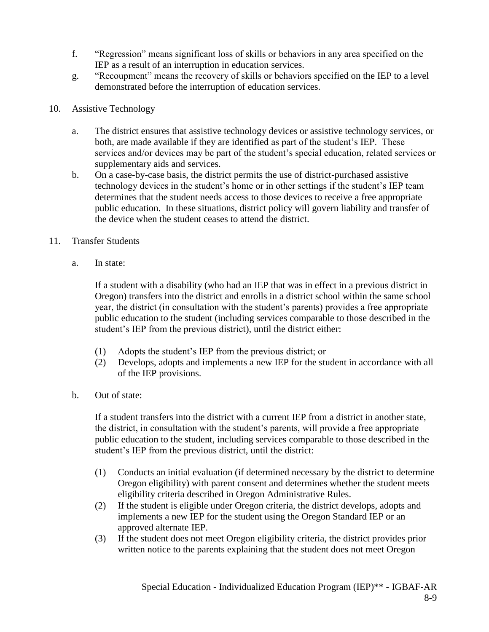- f. "Regression" means significant loss of skills or behaviors in any area specified on the IEP as a result of an interruption in education services.
- g. "Recoupment" means the recovery of skills or behaviors specified on the IEP to a level demonstrated before the interruption of education services.
- 10. Assistive Technology
	- a. The district ensures that assistive technology devices or assistive technology services, or both, are made available if they are identified as part of the student's IEP. These services and/or devices may be part of the student's special education, related services or supplementary aids and services.
	- b. On a case-by-case basis, the district permits the use of district-purchased assistive technology devices in the student's home or in other settings if the student's IEP team determines that the student needs access to those devices to receive a free appropriate public education. In these situations, district policy will govern liability and transfer of the device when the student ceases to attend the district.
- 11. Transfer Students
	- a. In state:

If a student with a disability (who had an IEP that was in effect in a previous district in Oregon) transfers into the district and enrolls in a district school within the same school year, the district (in consultation with the student's parents) provides a free appropriate public education to the student (including services comparable to those described in the student's IEP from the previous district), until the district either:

- (1) Adopts the student's IEP from the previous district; or
- (2) Develops, adopts and implements a new IEP for the student in accordance with all of the IEP provisions.
- b. Out of state:

If a student transfers into the district with a current IEP from a district in another state, the district, in consultation with the student's parents, will provide a free appropriate public education to the student, including services comparable to those described in the student's IEP from the previous district, until the district:

- (1) Conducts an initial evaluation (if determined necessary by the district to determine Oregon eligibility) with parent consent and determines whether the student meets eligibility criteria described in Oregon Administrative Rules.
- (2) If the student is eligible under Oregon criteria, the district develops, adopts and implements a new IEP for the student using the Oregon Standard IEP or an approved alternate IEP.
- (3) If the student does not meet Oregon eligibility criteria, the district provides prior written notice to the parents explaining that the student does not meet Oregon